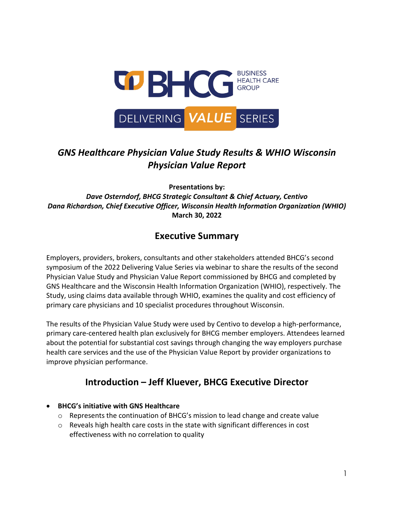

## *GNS Healthcare Physician Value Study Results & WHIO Wisconsin Physician Value Report*

**Presentations by:**

*Dave Osterndorf, BHCG Strategic Consultant & Chief Actuary, Centivo Dana Richardson, Chief Executive Officer, Wisconsin Health Information Organization (WHIO)* **March 30, 2022**

### **Executive Summary**

Employers, providers, brokers, consultants and other stakeholders attended BHCG's second symposium of the 2022 Delivering Value Series via webinar to share the results of the second Physician Value Study and Physician Value Report commissioned by BHCG and completed by GNS Healthcare and the Wisconsin Health Information Organization (WHIO), respectively. The Study, using claims data available through WHIO, examines the quality and cost efficiency of primary care physicians and 10 specialist procedures throughout Wisconsin.

The results of the Physician Value Study were used by Centivo to develop a high-performance, primary care-centered health plan exclusively for BHCG member employers. Attendees learned about the potential for substantial cost savings through changing the way employers purchase health care services and the use of the Physician Value Report by provider organizations to improve physician performance.

## **Introduction – Jeff Kluever, BHCG Executive Director**

- **BHCG's initiative with GNS Healthcare** 
	- $\circ$  Represents the continuation of BHCG's mission to lead change and create value
	- o Reveals high health care costs in the state with significant differences in cost effectiveness with no correlation to quality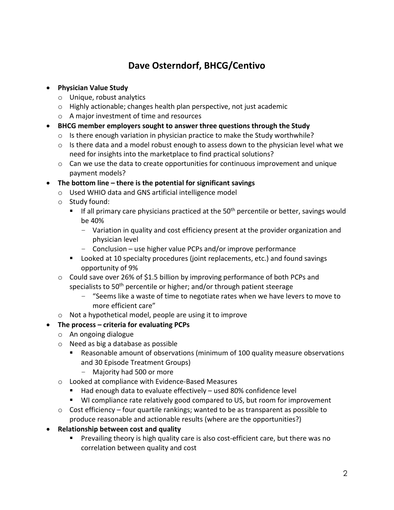## **Dave Osterndorf, BHCG/Centivo**

#### • **Physician Value Study**

- o Unique, robust analytics
- o Highly actionable; changes health plan perspective, not just academic
- o A major investment of time and resources
- **BHCG member employers sought to answer three questions through the Study**
	- $\circ$  Is there enough variation in physician practice to make the Study worthwhile?
	- o Is there data and a model robust enough to assess down to the physician level what we need for insights into the marketplace to find practical solutions?
	- $\circ$  Can we use the data to create opportunities for continuous improvement and unique payment models?

#### • **The bottom line – there is the potential for significant savings**

- o Used WHIO data and GNS artificial intelligence model
- o Study found:
	- If all primary care physicians practiced at the  $50<sup>th</sup>$  percentile or better, savings would be 40%
		- Variation in quality and cost efficiency present at the provider organization and physician level
		- Conclusion use higher value PCPs and/or improve performance
	- Looked at 10 specialty procedures (joint replacements, etc.) and found savings opportunity of 9%
- $\circ$  Could save over 26% of \$1.5 billion by improving performance of both PCPs and specialists to 50<sup>th</sup> percentile or higher; and/or through patient steerage
	- "Seems like a waste of time to negotiate rates when we have levers to move to more efficient care"
- o Not a hypothetical model, people are using it to improve

#### • **The process – criteria for evaluating PCPs**

- o An ongoing dialogue
- o Need as big a database as possible
	- Reasonable amount of observations (minimum of 100 quality measure observations and 30 Episode Treatment Groups)
		- Majority had 500 or more
- o Looked at compliance with Evidence-Based Measures
	- Had enough data to evaluate effectively used 80% confidence level
	- WI compliance rate relatively good compared to US, but room for improvement
- $\circ$  Cost efficiency four quartile rankings; wanted to be as transparent as possible to produce reasonable and actionable results (where are the opportunities?)
- **Relationship between cost and quality**
	- **Prevailing theory is high quality care is also cost-efficient care, but there was no** correlation between quality and cost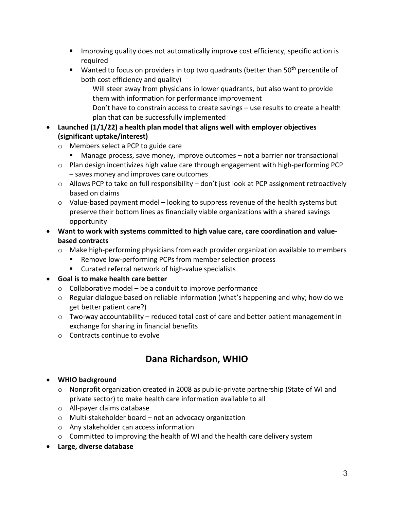- **IMPROM** 11 Improving quality does not automatically improve cost efficiency, specific action is required
- $\blacksquare$  Wanted to focus on providers in top two quadrants (better than 50<sup>th</sup> percentile of both cost efficiency and quality)
	- Will steer away from physicians in lower quadrants, but also want to provide them with information for performance improvement
	- Don't have to constrain access to create savings use results to create a health plan that can be successfully implemented
- **Launched (1/1/22) a health plan model that aligns well with employer objectives (significant uptake/interest)**
	- o Members select a PCP to guide care
		- Manage process, save money, improve outcomes not a barrier nor transactional
	- $\circ$  Plan design incentivizes high value care through engagement with high-performing PCP – saves money and improves care outcomes
	- $\circ$  Allows PCP to take on full responsibility don't just look at PCP assignment retroactively based on claims
	- $\circ$  Value-based payment model looking to suppress revenue of the health systems but preserve their bottom lines as financially viable organizations with a shared savings opportunity
- **Want to work with systems committed to high value care, care coordination and valuebased contracts**
	- o Make high-performing physicians from each provider organization available to members
		- Remove low-performing PCPs from member selection process
		- **E** Curated referral network of high-value specialists
- **Goal is to make health care better** 
	- o Collaborative model be a conduit to improve performance
	- $\circ$  Regular dialogue based on reliable information (what's happening and why; how do we get better patient care?)
	- o Two-way accountability reduced total cost of care and better patient management in exchange for sharing in financial benefits
	- o Contracts continue to evolve

# **Dana Richardson, WHIO**

### • **WHIO background**

- o Nonprofit organization created in 2008 as public-private partnership (State of WI and private sector) to make health care information available to all
- o All-payer claims database
- o Multi-stakeholder board not an advocacy organization
- o Any stakeholder can access information
- $\circ$  Committed to improving the health of WI and the health care delivery system
- **Large, diverse database**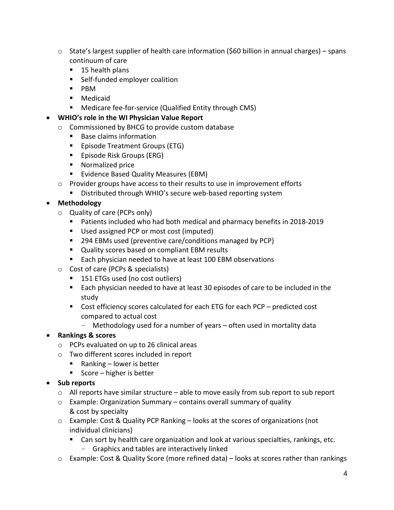- $\circ$  State's largest supplier of health care information (\$60 billion in annual charges) spans continuum of care
	- 15 health plans
	- **Self-funded employer coalition**
	- PBM
	- Medicaid
	- **Medicare fee-for-service (Qualified Entity through CMS)**
- **WHIO's role in the WI Physician Value Report**
	- o Commissioned by BHCG to provide custom database
		- Base claims information
		- **Episode Treatment Groups (ETG)**
		- **Episode Risk Groups (ERG)**
		- **Normalized price**
		- **EVIDENCE Based Quality Measures (EBM)**
	- $\circ$  Provider groups have access to their results to use in improvement efforts
		- **Distributed through WHIO's secure web-based reporting system**

#### • **Methodology**

- o Quality of care (PCPs only)
	- **Patients included who had both medical and pharmacy benefits in 2018-2019**
	- Used assigned PCP or most cost (imputed)
	- 294 EBMs used (preventive care/conditions managed by PCP)
	- Quality scores based on compliant EBM results
	- Each physician needed to have at least 100 EBM observations
- o Cost of care (PCPs & specialists)
	- 151 ETGs used (no cost outliers)
	- Each physician needed to have at least 30 episodes of care to be included in the study
	- Cost efficiency scores calculated for each ETG for each PCP predicted cost compared to actual cost
		- Methodology used for a number of years often used in mortality data

#### • **Rankings & scores**

- o PCPs evaluated on up to 26 clinical areas
- o Two different scores included in report
	- Ranking lower is better
	- Score higher is better

#### • **Sub reports**

- o All reports have similar structure able to move easily from sub report to sub report
- $\circ$  Example: Organization Summary contains overall summary of quality & cost by specialty
- $\circ$  Example: Cost & Quality PCP Ranking looks at the scores of organizations (not individual clinicians)
	- Can sort by health care organization and look at various specialties, rankings, etc.
		- Graphics and tables are interactively linked
- o Example: Cost & Quality Score (more refined data) looks at scores rather than rankings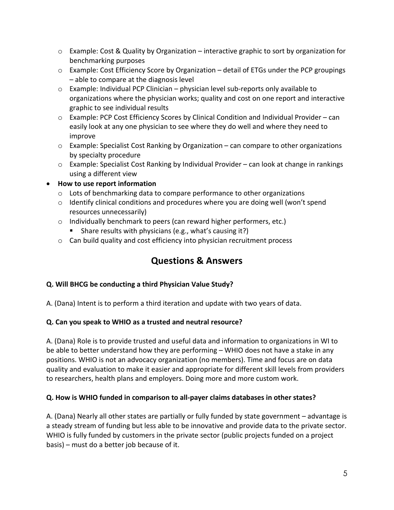- $\circ$  Example: Cost & Quality by Organization interactive graphic to sort by organization for benchmarking purposes
- $\circ$  Example: Cost Efficiency Score by Organization detail of ETGs under the PCP groupings – able to compare at the diagnosis level
- $\circ$  Example: Individual PCP Clinician physician level sub-reports only available to organizations where the physician works; quality and cost on one report and interactive graphic to see individual results
- $\circ$  Example: PCP Cost Efficiency Scores by Clinical Condition and Individual Provider can easily look at any one physician to see where they do well and where they need to improve
- $\circ$  Example: Specialist Cost Ranking by Organization can compare to other organizations by specialty procedure
- $\circ$  Example: Specialist Cost Ranking by Individual Provider can look at change in rankings using a different view

#### • **How to use report information**

- $\circ$  Lots of benchmarking data to compare performance to other organizations
- o Identify clinical conditions and procedures where you are doing well (won't spend resources unnecessarily)
- o Individually benchmark to peers (can reward higher performers, etc.)
	- Share results with physicians (e.g., what's causing it?)
- o Can build quality and cost efficiency into physician recruitment process

## **Questions & Answers**

#### **Q. Will BHCG be conducting a third Physician Value Study?**

A. (Dana) Intent is to perform a third iteration and update with two years of data.

#### **Q. Can you speak to WHIO as a trusted and neutral resource?**

A. (Dana) Role is to provide trusted and useful data and information to organizations in WI to be able to better understand how they are performing – WHIO does not have a stake in any positions. WHIO is not an advocacy organization (no members). Time and focus are on data quality and evaluation to make it easier and appropriate for different skill levels from providers to researchers, health plans and employers. Doing more and more custom work.

#### **Q. How is WHIO funded in comparison to all-payer claims databases in other states?**

A. (Dana) Nearly all other states are partially or fully funded by state government – advantage is a steady stream of funding but less able to be innovative and provide data to the private sector. WHIO is fully funded by customers in the private sector (public projects funded on a project basis) – must do a better job because of it.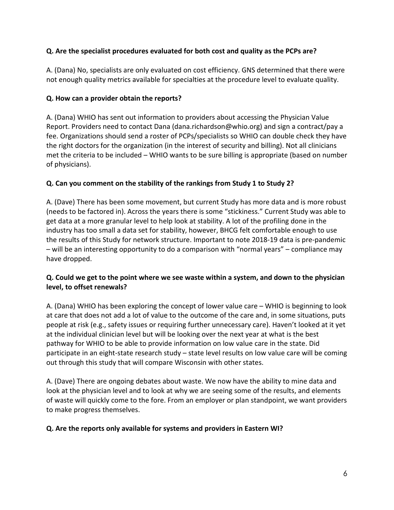#### **Q. Are the specialist procedures evaluated for both cost and quality as the PCPs are?**

A. (Dana) No, specialists are only evaluated on cost efficiency. GNS determined that there were not enough quality metrics available for specialties at the procedure level to evaluate quality.

#### **Q. How can a provider obtain the reports?**

A. (Dana) WHIO has sent out information to providers about accessing the Physician Value Report. Providers need to contact Dana (dana.richardson@whio.org) and sign a contract/pay a fee. Organizations should send a roster of PCPs/specialists so WHIO can double check they have the right doctors for the organization (in the interest of security and billing). Not all clinicians met the criteria to be included – WHIO wants to be sure billing is appropriate (based on number of physicians).

#### **Q. Can you comment on the stability of the rankings from Study 1 to Study 2?**

A. (Dave) There has been some movement, but current Study has more data and is more robust (needs to be factored in). Across the years there is some "stickiness." Current Study was able to get data at a more granular level to help look at stability. A lot of the profiling done in the industry has too small a data set for stability, however, BHCG felt comfortable enough to use the results of this Study for network structure. Important to note 2018-19 data is pre-pandemic – will be an interesting opportunity to do a comparison with "normal years" – compliance may have dropped.

#### **Q. Could we get to the point where we see waste within a system, and down to the physician level, to offset renewals?**

A. (Dana) WHIO has been exploring the concept of lower value care – WHIO is beginning to look at care that does not add a lot of value to the outcome of the care and, in some situations, puts people at risk (e.g., safety issues or requiring further unnecessary care). Haven't looked at it yet at the individual clinician level but will be looking over the next year at what is the best pathway for WHIO to be able to provide information on low value care in the state. Did participate in an eight-state research study – state level results on low value care will be coming out through this study that will compare Wisconsin with other states.

A. (Dave) There are ongoing debates about waste. We now have the ability to mine data and look at the physician level and to look at why we are seeing some of the results, and elements of waste will quickly come to the fore. From an employer or plan standpoint, we want providers to make progress themselves.

#### **Q. Are the reports only available for systems and providers in Eastern WI?**